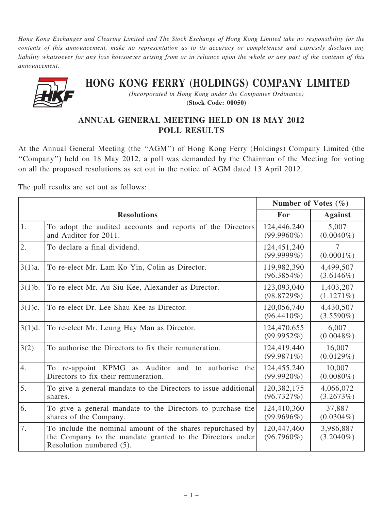Hong Kong Exchanges and Clearing Limited and The Stock Exchange of Hong Kong Limited take no responsibility for the contents of this announcement, make no representation as to its accuracy or completeness and expressly disclaim any liability whatsoever for any loss howsoever arising from or in reliance upon the whole or any part of the contents of this announcement.



## HONG KONG FERRY (HOLDINGS) COMPANY LIMITED

(Incorporated in Hong Kong under the Companies Ordinance) (Stock Code: 00050)

## ANNUAL GENERAL MEETING HELD ON 18 MAY 2012 POLL RESULTS

At the Annual General Meeting (the ''AGM'') of Hong Kong Ferry (Holdings) Company Limited (the ''Company'') held on 18 May 2012, a poll was demanded by the Chairman of the Meeting for voting on all the proposed resolutions as set out in the notice of AGM dated 13 April 2012.

The poll results are set out as follows:

|           |                                                                                                                                                     | Number of Votes $(\% )$      |                           |
|-----------|-----------------------------------------------------------------------------------------------------------------------------------------------------|------------------------------|---------------------------|
|           | <b>Resolutions</b>                                                                                                                                  | For                          | <b>Against</b>            |
| 1.        | To adopt the audited accounts and reports of the Directors<br>and Auditor for 2011.                                                                 | 124,446,240<br>$(99.9960\%)$ | 5,007<br>$(0.0040\%)$     |
| 2.        | To declare a final dividend.                                                                                                                        | 124,451,240<br>$(99.9999\%)$ | 7<br>$(0.0001\%)$         |
| $3(1)a$ . | To re-elect Mr. Lam Ko Yin, Colin as Director.                                                                                                      | 119,982,390<br>$(96.3854\%)$ | 4,499,507<br>(3.6146%)    |
| 3(1)b.    | To re-elect Mr. Au Siu Kee, Alexander as Director.                                                                                                  | 123,093,040<br>(98.8729%)    | 1,403,207<br>$(1.1271\%)$ |
| 3(1)c.    | To re-elect Dr. Lee Shau Kee as Director.                                                                                                           | 120,056,740<br>$(96.4410\%)$ | 4,430,507<br>$(3.5590\%)$ |
| 3(1)d.    | To re-elect Mr. Leung Hay Man as Director.                                                                                                          | 124,470,655<br>(99.9952%)    | 6,007<br>$(0.0048\%)$     |
| $3(2)$ .  | To authorise the Directors to fix their remuneration.                                                                                               | 124,419,440<br>(99.9871%)    | 16,007<br>(0.0129%)       |
| 4.        | To re-appoint KPMG as Auditor and to authorise<br>the<br>Directors to fix their remuneration.                                                       | 124,455,240<br>$(99.9920\%)$ | 10,007<br>$(0.0080\%)$    |
| 5.        | To give a general mandate to the Directors to issue additional<br>shares.                                                                           | 120,382,175<br>(96.7327%)    | 4,066,072<br>(3.2673%)    |
| 6.        | To give a general mandate to the Directors to purchase the<br>shares of the Company.                                                                | 124,410,360<br>$(99.9696\%)$ | 37,887<br>$(0.0304\%)$    |
| 7.        | To include the nominal amount of the shares repurchased by<br>the Company to the mandate granted to the Directors under<br>Resolution numbered (5). | 120,447,460<br>$(96.7960\%)$ | 3,986,887<br>$(3.2040\%)$ |